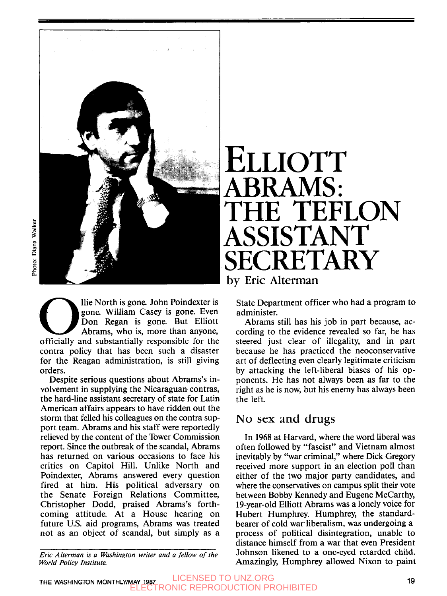

a lie North is gone. John Poindexter is<br>gone. William Casey is gone. Even<br>Don Regan is gone. But Elliott<br>Abrams, who is, more than anyone,<br>officially and substantially responsible for the<br>contra policy that has been such a gone. William Casey is gone. Even Don Regan is gone. But Elliott Abrams, who is, more than anyone, officially and substantially responsible for the contra policy that has been such a disaster for the Reagan administration, is still giving orders.

Despite serious questions about Abrams's involvement in supplying the Nicaraguan contras, the hard-line assistant secretary of state for Latin American affairs appears to have ridden out the storm that felled his colleagues on the contra support team. Abrams and his staff were reportedly relieved by the content of the Tower Commission report. Since the outbreak of the scandal, Abrams has returned on various occasions to face his critics on Capitol Hill. Unlike North and Poindexter, Abrams answered every question fired at him. His political adversary on the Senate Foreign Relations Committee, Christopher Dodd, praised Abrams's forthcoming attitude. At a House hearing on future U.S. aid programs, Abrams was treated not as an object of scandal, but simply as a

*Eric Alterman* is *a Washington writer and a fellow of the World Policy Institute.* 

# **ELLIOTT**  TEFLON **AMS.** SSISTAN CRETARY **by Eric Alterman**

State Department officer who had a program to administer.

Abrams still has his job in part because, according to the evidence revealed so far, he has steered just clear of illegality, and in part because he has practiced the neoconservative art of deflecting even clearly legitimate criticism by attacking the left-liberal biases of his opponents. He has not always been as far to the right as he is now, but his enemy has always been the left.

#### No **sex and drugs**

In 1968 at Harvard, where the word liberal was often followed by "fascist" and Vietnam almost inevitably by "war criminal," where Dick Gregory received more support in an election poll than either of the two major party candidates, and where the conservatives on campus split their vote between Bobby Kennedy and Eugene McCarthy, 19-year-old Elliott Abrams was a lonely voice for Hubert Humphrey. Humphrey, the standardbearer of cold war. liberalism, was undergoing a process of political disintegration, unable to distance himself from a war that even President Johnson likened to a one-eyed retarded child. Amazingly, Humphrey allowed Nixon to paint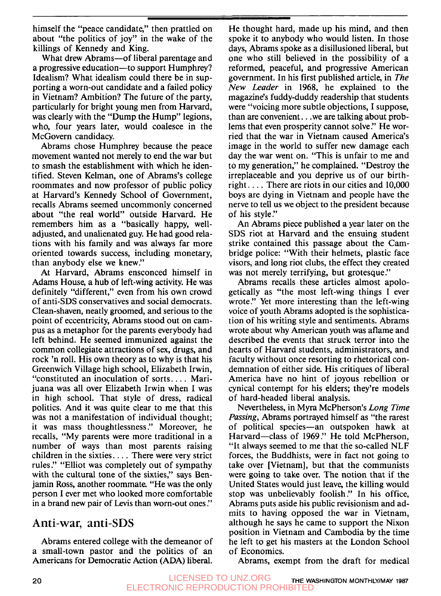himself the "peace candidate," then prattled on about "the politics of joy" in the wake of the killings of Kennedy and King.

What drew Abrams-of liberal parentage and a progressive education—to support Humphrey? Idealism? What idealism could there be in supporting a worn-out candidate and a failed policy in Vietnam? Ambition? The future of the party, particularly for bright young men from Harvard, was clearly with the "Dump the Hump" legions, who, four years later, would coalesce in the McGovern candidacy.

Abrams chose Humphrey because the peace movement wanted not merely to end the war but to smash the establishment with which he identified. Steven Kelman, one of Abrams's college roommates and now professor of public policy at Harvard's Kennedy School of Government, recalls Abrams seemed uncommonly concerned about "the real world" outside Harvard. He remembers him as a "basically happy, welladjusted, and unalienated guy. He had good relations with his family and was always far more oriented towards success, including monetary, than anybody else we knew."

At Harvard, Abrams ensconced himself in Adams House, a hub of left-wing activity. He was definitely "different," even from his own crowd of anti-SDS conservatives and social democrats. Clean-shaven, neatly groomed, and serious to the point of eccentricity, Abrams stood out on campus as a metaphor for the parents everybody had left behind. He seemed immunized against the common collegiate attractions of sex, drugs, and rock 'n roll. His own theory as to why is that his Greenwich Village high school, Elizabeth Irwin, "constituted an inoculation of sorts. . . . Marijuana was all over Elizabeth Irwin when I was in high school. That style of dress, radical politics. And it was quite clear to me that this was not a manifestation of individual thought; it was mass thoughtlessness ." Moreover, he recalls, "My parents were more traditional in a number of ways than most parents raising children in the sixties. . . . There were very strict rules ." "Elliot was completely out of sympathy with the cultural tone of the sixties," says Benjamin Ross, another roommate. "He was the only person I ever met who looked more comfortable<br>in a brand new pair of Levis than worn-out ones."

### **Anti-war, anti-SDS**

Abrams entered college with the demeanor of a small-town pastor and the politics of an Americans for Democratic Action (ADA) liberal.

He thought hard, made up his mind, and then spoke it to anybody who would listen. In those days, Abrams spoke as a disillusioned liberal, but one who still believed in the possibility of a reformed, peaceful, and progressive American government. In his first published article, in *The New Leader* in **1968,** he explained to the magazine's fuddy-duddy readership that students were "voicing more subtle objections, **I** suppose, than are convenient. . .we are talking about problems that even prosperity cannot solve." He worried that the war in Vietnam caused America's image in the world to suffer new damage each day the war went on. "This is unfair to me and to my generation," he complained. "Destroy the irreplaceable and you deprive us of our birthright. . . . There are riots in our cities and **10,000**  boys are dying in Vietnam and people have the nerve to tell us we object to the president because of his style.''

*An* Abrams piece published a year later on the **SDS** riot at Harvard and the ensuing student strike contained this passage about the Cambridge police: "With their helmets, plastic face visors, and long riot clubs, the effect they created was not merely terrifying, but grotesque."

Abrams recalls these articles almost apologetically as "the most left-wing things **I** ever wrote." Yet more interesting than the left-wing voice of youth Abrams adopted is the sophistication of his writing style and sentiments. Abrams wrote about why American youth was aflame and described the events that struck terror into the hearts of Harvard students, administrators, and faculty without once resorting to rhetorical condemnation of either side. His critiques of liberal America have no hint of joyous rebellion or cynical contempt for his elders; they're models of hard-headed liberal analysis.

Nevertheless, in Myra McPherson's *Long Time Passing,* Abrams portrayed himself as "the rarest of political species-an outspoken hawk at Harvard-class of **1969** ." He told McPherson, "It always seemed to me that the so-called NLF forces, the Buddhists, were in fact not going to take over [Vietnam], but that the communists were going to take over. The notion that if the United States would just leave, the killing would stop was unbelievably foolish." In his office, Abrams puts aside his public revisionism and admits to having opposed the war in Vietnam, although he says he came to support the Nixon position in Vietnam and Cambodia by the time he left to get his masters at the London School of Economics.

Abrams, exempt from the draft for medical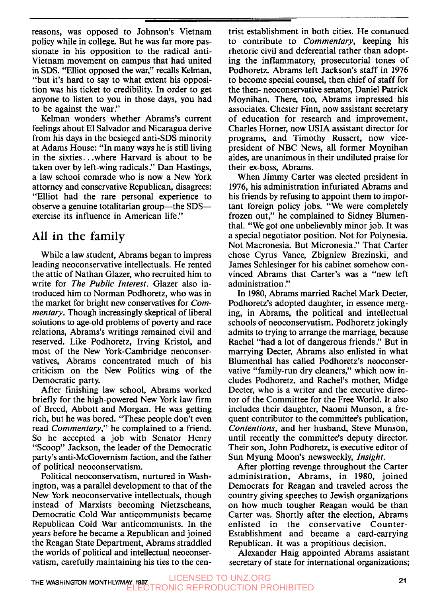reasons, was opposed to Johnson's Vietnam policy while in college. But he was far more passionate in his opposition to the radical anti-Vietnam movement on campus that had united in SDS. "Elliot opposed the war," recalls Kelman, "but it's hard to say to what extent his opposition was his ticket to credibility. In order to get anyone to listen to you in those days, you had to be against the war."

Kelman wonders whether Abrams's current feelings about El Salvador and Nicaragua derive from his days in the besieged anti-SDS minority at Adams House: "In many ways he is still living in the sixties. . .where Harvard is about to be taken over by left-wing radicals." Dan Hastings, a law school comrade who is now a New York attorney and conservative Republican, disagrees: "Elliot had the rare personal experience to observe a genuine totalitarian group—the SDS exercise its influence in American life."

## **All in the family**

While a law student, Abrams began to impress leading neoconservative intellectuals. He rented the attic of Nathan Glazer, who recruited him to write for *The Public Interest.* Glazer also introduced him to Norman Podhoretz, who was in the market for bright new conservatives for Com*mentary.* Though increasingly skeptical of liberal solutions to age-old problems of poverty and race relations, Abrams's writings remained civil and reserved. Like Podhoretz, Irving Kristol, and most of the New York-Cambridge neoconservatives, Abrams concentrated much of his criticism on the New Politics wing of the Democratic party.

After finishing law school, Abrams worked briefly for the high-powered New York law firm of Breed, Abbott and Morgan. He was getting rich, but he was bored. "These people don't even read *Commentary,"* he complained to a friend. So he accepted a job with Senator Henry "Scoop" Jackson, the leader of the Democratic party's anti-McGovernism faction, and the father of political neoconservatism.

Political neoconservatism, nurtured in Washington, was a parallel development to that of the New York neoconservative intellectuals, though instead of Marxists becoming Nietzscheans, Democratic Cold War anticommunists became Republican Cold War anticommunists. In the years before he became a Republican and joined the Reagan State Department, Abrams straddled the worlds of political and intellectual neoconservatism, carefully maintaining his ties to the centrist establishment in both cities. He conunued to contribute to *Commentary,* keeping his rhetoric civil and deferential rather than adopting the inflammatory, prosecutorial tones of Podhoretz. Abrams left Jackson's staff in **1976**  to become special counsel, then chief of staff for the then- neoconservative senator, Daniel Patrick Moynihan. There, too, Abrams impressed his associates. Chester Finn, now assistant secretary of education for research and improvement, Charles Horner, now USIA assistant director for programs, and Timothy Russert, now vicepresident of NBC News, all former Moynihan aides, are unanimous in their undiluted praise for their ex-boss, Abrams.

When Jimmy Carter was elected president in **1976,** his administration infuriated Abrams and his friends by refusing to appoint them to important foreign policy jobs. "We were completely frozen out," he complained to Sidney Blumenthal. "We got one unbelievably minor job. It was a special negotiator position. Not for Polynesia. Not Macronesia. But Micronesia ." That Carter chose Cyrus Vance, Zbigniew Brezinski, and James Schlesinger for his cabinet somehow convinced Abrams that Carter's was a "new left administration ."

In **1980,** Abrams married Rachel Mark Decter, Podhoretz's adopted daughter, in essence merging, in Abrams, the political and intellectual schools of neoconservatism. Podhoretz jokingly admits to trying to arrange the marriage, because Rachel "had a lot of dangerous friends ." But in marrying Decter, Abrams also enlisted in what Blumenthal has called Podhoretz's neoconservative "family-run dry cleaners," which now includes Podhoretz, and Rachel's mother, Midge Decter, who is a writer and the executive director of the Committee for the Free World. It also includes their daughter, Naomi Munson, a frequent contributor to the committee's publication, *Contentions,* and her husband, Steve Munson, until recently the committee's deputy director. Their son, John Podhoretz, is executive editor of Sun Myung Moon's newsweekly, *Insight.* 

After plotting revenge throughout the Carter administration, Abrams, in **1980,** joined Democrats for Reagan and traveled across the country giving speeches to Jewish organizations on how much tougher Reagan would be than Carter was. Shortly after the election, Abrams enlisted in the conservative Counter-Establishment and became a card-carrying Republican. It was a propitious decision.

Alexander Haig appointed Abrams assistant secretary of state for international organizations;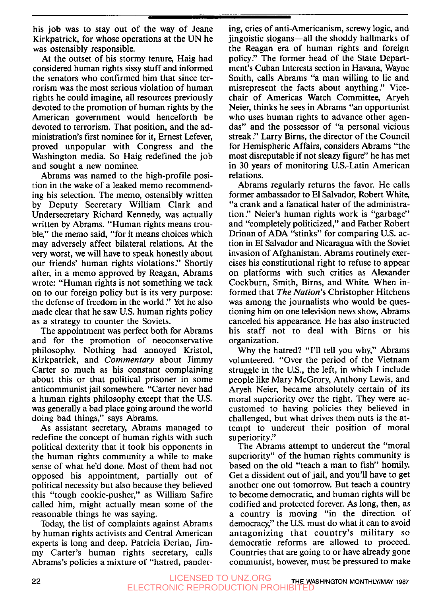his job was to stay out of the way of Jeane Kirkpatrick, for whose operations at the UN he was ostensibly responsible.

At the outset of his stormy tenure, Haig had considered human rights sissy stuff and informed the senators who confirmed him that since terrorism was the most serious violation of human rights he could imagine, all resources previously devoted to the promotion of human rights by the American government would henceforth be devoted to terrorism. That position, and the administration's first nominee for it, Ernest Lefever, proved unpopular with Congress and the Washington media. So Haig redefined the job and sought a new nominee.

Abrams was named to the high-profile position in the wake of a leaked memo recommending his selection. The memo, ostensibly written by Deputy Secretary William Clark and Undersecretary Richard Kennedy, was actually written by Abrams. "Human rights means trouble," the memo said, "for it means choices which may adversely affect bilateral relations. At the very worst, we will have to speak honestly about our friends' human rights violations ." Shortly after, in a memo approved by Reagan, Abrams wrote: "Human rights is not something we tack on to our foreign policy but is its very purpose: the defense of freedom in the world ." Yet he also made clear that he saw U.S. human rights policy as a strategy to counter the Soviets.

The appointment was perfect both for Abrams and for the promotion of neoconservative philosophy. Nothing had annoyed Kristol, Kirkpatrick, and *Commentary* about Jimmy Carter so much as his constant complaining about this or that political prisoner in some anticommunist jail somewhere. "Carter never had a human rights philosophy except that the U.S. was generally a bad place going around the world doing bad things," says Abrams.

As assistant secretary, Abrams managed to redefine the concept of human rights with such political dexterity that it took his opponents in the human rights community a while to make sense of what he'd done. Most of them had not opposed his appointment, partially out of political necessity but also because they believed this "tough cookie-pusher," as William Safire called him, might actually mean some of the reasonable things he was saying.

Today, the list of complaints against Abrams by human rights activists and Central American experts is long and deep. Patricia Derian, Jimmy Carter's human rights secretary, calls Abrams's policies a mixture of "hatred, pandering, cries of anti-Americanism, screwy logic, and iingoistic slogans—all the shoddy hallmarks of the Reagan era of human rights and foreign policy.'' The former head of the State Department's Cuban Interests section in Havana, Wayne Smith, calls Abrams "a man willing to lie and misrepresent the facts about anything ." Vicechair of Americas Watch Committee, Aryeh Neier, thinks he sees in Abrams "an opportunist who uses human rights to advance other agendas" and the possessor of "a personal vicious streak ." Larry Birns, the director of the Council for Hemispheric Affairs, considers Abrams "the most disreputable if not sleazy figure" he has met in 30 years of monitoring U.S.-Latin American relations.

Abrams regularly returns the favor. He calls former ambassador to El Salvador, Robert White, "a crank and a fanatical hater of the administration ." Neier's human rights work is "garbage" and "completely politicized," and Father Robert Drinan of ADA "stinks" for comparing U.S. action in El Salvador and Nicaragua with the Soviet invasion of Afghanistan. Abrams routinely exercises his constitutional right to refuse to appear on platforms with such critics as Alexander Cockburn, Smith, Birns, and White. When informed that *The Nation's* Christopher Hitchens was among the journalists who would be questioning him on one television news show, Abrams canceled his appearance. He has also instructed his staff not to deal with Birns or his organization.

Why the hatred? "I'll tell you why," Abrams volunteered. "Over the period of the Vietnam struggle in the U.S., the left, in which I include people like Mary McGrory, Anthony Lewis, and Aryeh Neier, became absolutely certain of its moral superiority over the right. They were accustomed to having policies they believed in challenged, but what drives them nuts is the attempt to undercut their position of moral superiority."

The Abrams attempt to undercut the "moral superiority" of the human rights community is based on the old "teach a man to fish" homily. Get a dissident out of jail, and you'll have to get another one out tomorrow. But teach a country to become democratic, and human rights will be codified and protected forever. As long, then, as a country is moving "in the direction of democracy," the U.S. must do what it can to avoid antagonizing that country's military so democratic reforms are allowed to proceed. Countries that are going to or have already gone communist, however, must be pressured to make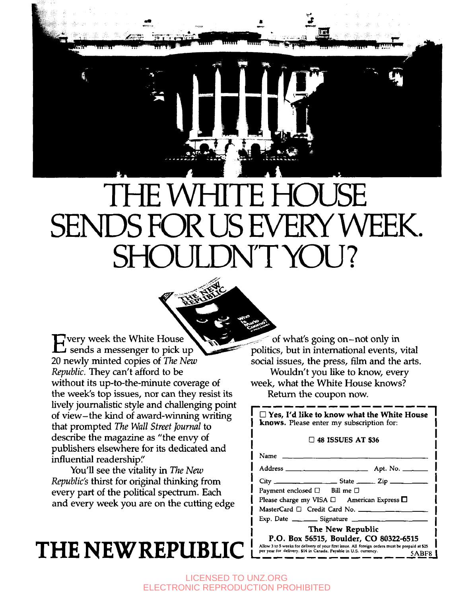

 $\Gamma$  very week the White House 20 newly minted copies of *The New Republic.* They can't afford to be without its up-to-the-minute coverage of the week's top issues, nor can they resist its lively journalistic style and challenging point of view- the kind of award-winning writing that prompted *The Wall Street Journal* to describe the magazine as "the envy of publishers elsewhere for its dedicated and influential readership:'

You'll see the vitality in *The New Republic's* thirst for original thinking from every part of the political spectrum. Each and every week you are on the **cutting** edge

# $THE$  **NEW REPUBLIC**

of what's going on-not only in politics, but in international events, vital social issues, the press, film and the arts. Wouldn't you like to know, every week, what the White House knows? Return the coupon now. week, what the White House knows?<br>
Return the coupon now.<br> **Comparison in the White House I I also like to know what the White House I** 

knows. Please enter my subscription for:

#### *0* **48 ISSUES AT \$36**

**I**  I

**I** 

Name **I**  Nettilli the Coupon How.<br>  $\frac{1}{\sqrt{2}}$   $\frac{1}{\sqrt{2}}$   $\frac{1}{\sqrt{2}}$   $\frac{1}{\sqrt{2}}$   $\frac{1}{\sqrt{2}}$   $\frac{1}{\sqrt{2}}$   $\frac{1}{\sqrt{2}}$   $\frac{1}{\sqrt{2}}$   $\frac{1}{\sqrt{2}}$   $\frac{1}{\sqrt{2}}$   $\frac{1}{\sqrt{2}}$   $\frac{1}{\sqrt{2}}$   $\frac{1}{\sqrt{2}}$   $\frac{1}{\sqrt{2}}$   $\frac{1}{\sqrt{2}}$  C 48 ISSUES AT \$36<br>
Name<br>
Address<br>
Address<br>
<u>City State</u> - Zip - Zip - Zip Payment enclosed □ Bill me □ Payment enclosed *0* **BiU** me *0* **I**  Name - Address - State<br>
Address - State - State<br>
Payment enclosed  $\Box$  Bill me<br>
Please charge my VISA  $\Box$  /<br>
MasterCard  $\Box$  Credit Card N<br>
Exp. Date - Signature<br>
The New Figure

Please *charge* my VISA *0* American Express **I** 

MasterCard *0* Credit Card No.

**I I I The New Republic P.O. Box 56515, Boulder, CO 80322-6515 Allow 3 to 5 week for delivery of your first hrue.** *AU* **foreign orders mwt be prepaid at** *\$25* **I** 

LICENSED TO UNZ.ORG ELECTRONIC REPRODUCTION PROHIBITED

**I I I I I**  י<br>|<br>! י **I I I** 

**I**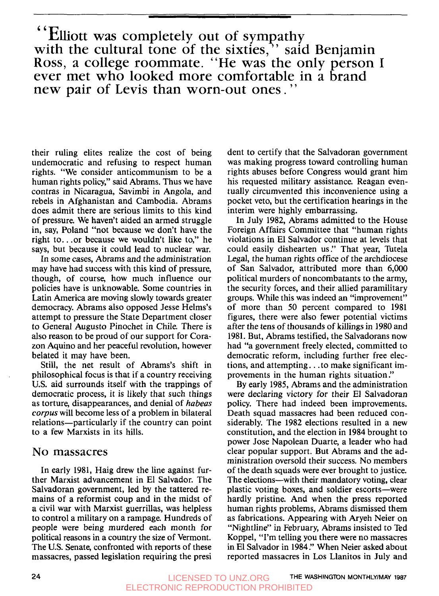**Elliott was completely out of sympathy with the cultural tone of the sixties,** " **said Benjamin Ross, a college roommate. "He was the only person I ever met who looked more comfortable in a brand new pair of Levis than worn-out ones. <sup>77</sup>**

their ruling elites realize the cost of being undemocratic and refusing to respect human rights. "We consider anticommunism to be a human rights policy," said Abrams. Thus we have contras in Nicaragua, Savimbi in Angola, and rebels in Afghanistan and Cambodia. Abrams does admit there are serious limits to this kind of pressure. We haven't aided an armed struggle in, say, Poland "not because we don't have the right to.. .or because we wouldn't like to," he says, but because it could lead to nuclear war.

In some cases, Abrams and the administration may have had success with this kind of pressure, though, of course, how much influence our policies have is unknowable. Some countries in Latin America are moving slowly towards greater democracy. Abrams also opposed Jesse Helms's attempt to pressure the State Department closer to General Augusto Pinochet in Chile. There is also reason to be proud of our support for Corazon Aquino and her peaceful revolution, however belated it may have been.

Still, the net result of Abrams's shift in philosophical focus is that if a country receiving U.S. aid surrounds itself with the trappings of democratic process, it is likely that such things as torture, disappearances, and denial of *habeas* corpus will become less of a problem in bilateral relations-particularly if the country can point to a few Marxists in its hills.

#### No **massacres**

In early **1981,** Haig drew the line against further Marxist advancement in El Salvador. The Salvadoran government, led by the tattered remains of a reformist coup and in the midst of a civil war with Marxist guerrillas, was helpless to control a military on a rampage. Hundreds of people were being murdered each month for political reasons in a country the size of Vermont. The U.S. Senate, confronted with reports of these massacres, passed legislation requiring the presi

dent to certify that the Salvadoran government was making progress toward controlling human rights abuses before Congress would grant him his requested military assistance. Reagan eventually circumvented this inconvenience using a pocket veto, but the certification hearings in the interim were highly embarrassing.

In July **1982,** Abrams admitted to the House Foreign Affairs Committee that "human rights violations in El Salvador continue at levels that could easily dishearten us." That year, Tutela Legal, the human rights office of the archdiocese of San Salvador, attributed more than 6,000 political murders of noncombatants to the army, the security forces, and their allied paramilitary groups. While this was indeed an "improvement" of more than 50 percent compared to **1981**  figures, there were also fewer potential victims after the tens of thousands of killings in **1980** and **1981.** But, Abrams testified, the Salvadorans now had "a government freely elected, committed to democratic reform, including further free elections, and attempting. . .to make significant improvements in the human rights situation ."

By early **1985,** Abrams and the administration were declaring victory for their El Salvadoran policy. There had indeed been improvements. Death squad massacres had been reduced considerably. The **1982** elections resulted in a new constitution, and the election in **1984** brought to power Jose Napolean Duarte, a leader who had clear popular support. But Abrams and the administration oversold their success. No members of the death squads were ever brought to justice. The elections—with their mandatory voting, clear plastic voting boxes, and soldier escorts-were hardly pristine. And when the press reported human rights problems, Abrams dismissed them as fabrications. Appearing with Aryeh Neier on "Nightline" in February, Abrams insisted to Ted Koppel, "I'm telling you there were no massacres in El Salvador in 1984." When Neier asked about reported massacres in Los Llanitos in July and

**24 THE WASHINGTON MONTHLYIMAY 1987** LICENSED TO UNZ.ORG ELECTRONIC REPRODUCTION PROHIBITED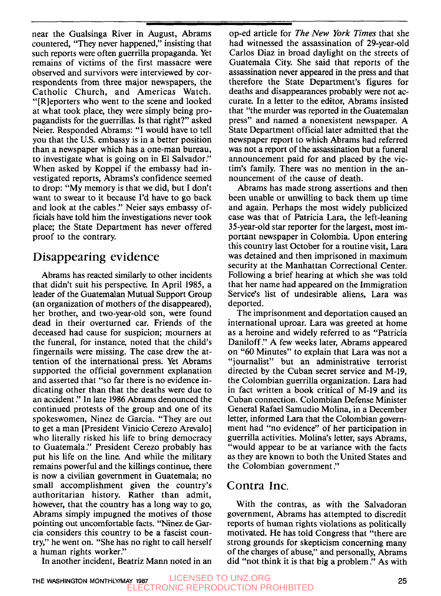near the Gualsinga River in August, Abrams countered, "They never happened," insisting that such reports were often guerrilla propaganda. Yet remains of victims of the first massacre were observed and survivors were interviewed by correspondents from three major newspapers, the Catholic Church, and Americas Watch. "[Rleporters who went to the scene and looked at what took place, they were simply being propagandists for the guerrillas. Is that right?" asked Neier. Responded Abrams: "I would have to tell you that the U.S. embassy is in a better position than a newspaper which has a one-man bureau, to investigate what is going on in El Salvador.'' When asked by Koppel if the embassy had investigated reports, Abrams's confidence seemed to drop: "My memory is that we did, but I don't want to swear to it because I'd have to go back and look at the cables ." Neier says embassy officials have told him the investigations never took place; the State Department has never offered proof to the contrary.

### **Disappearing evidence**

Abrams has reacted similarly to other incidents that didn't suit his perspective. In April 1985, a leader of the Guatemalan Mutual Support Group (an organization of mothers of the disappeared), her brother, and two-year-old son, were found dead in their overturned car. Friends of the deceased had cause for suspicion; mourners at the funeral, for instance, noted that the child's fingernails were missing. The case drew the attention of the international press. Yet Abrams supported the official government explanation and asserted that "so far there is no evidence indicating other than that the deaths were due to an accident." In late 1986 Abrams denounced the continued protests of the group and one of its spokeswomen, Ninez de Garcia. "They are out to get a man [President Vinicio Cerezo Arevalo] who literally risked his life to bring democracy to Guatemala ." President Cerezo probably has put his life on the line. And while the military remains powerful and the killings continue, there is now a civilian government in Guatemala; no small accomplishment given the country's authoritarian history. Rather than admit, however, that the country has a long way to go, Abrams simply impugned the motives of those pointing out uncomfortable facts. "Ninez de Garcia considers this country to be a fascist country," he went on. "She has no right to call herself a human rights worker."

op-ed article for The *New* York Times that she had witnessed the assassination of 29-year-old Carlos Diaz in broad daylight on the streets of Guatemala City. She said that reports of the assassination never appeared in the press and that therefore the State Department's figures for deaths and disappearances probably were not accurate. In a letter to the editor, Abrams insisted that "the murder was reported in the Guatemalan press" and named a nonexistent newspaper. A State Department official later admitted that the newspaper report to which Abrams had referred was not a report of the assassination but a funeral announcement paid for and placed by the victim's family. There was no mention in the announcement of the cause of death.

Abrams has made strong assertions and then been unable or unwilling to back them up time and again. Perhaps the most widely publicized case was that of Patricia Lara, the left-leaning 35-year-old star reporter for the largest, most important newspaper in Colombia. Upon entering this country last October for a routine visit, Lara was detained and then imprisoned in maximum security at the Manhattan Correctional Center. Following a brief hearing at which she was told that her name had appeared on the Immigration Service's list of undesirable aliens, Lara was deported.

The imprisonment and deportation caused an international uproar. Lara was greeted at home as a heroine and widely referred to as "Patricia Daniloff ." A few weeks later, Abrams appeared on "60 Minutes" to explain that Lara was not a "journalist" but an administrative terrorist directed by the Cuban secret service and M-19, the Colombian guerrilla organization. Lara had in fact written a book critical of M-19 and its Cuban connection. Colombian Defense Minister General Rafael Samudio Molina, in a December letter, informed Lara that the Colombian government had "no evidence" of her participation in guerrilla activities. Molina's letter, says Abrams, "would appear to be at variance with the facts as they are known to both the United States and the Colombian government ."

#### **Contra Inc.**

With the contras, as with the Salvadoran government, Abrams has attempted to discredit reports of human rights violations as politically motivated. He has told Congress that "there are strong grounds for skepticism concerning many of the charges of abuse," and personally, Abrams did "not think it is that big a problem ." As with

In another incident, Beatriz Mann noted in an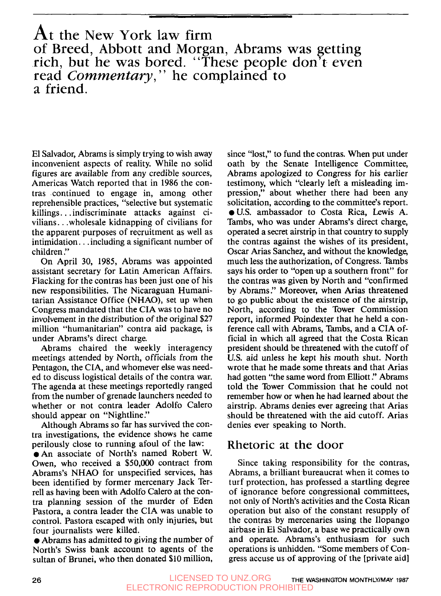## At the New York law firm of Breed, Abbott and Morgan, Abrams was getting rich, but he was bored. "These people don't even read *Commentary*," he complained to a friend.

El Salvador, Abrams is simply trying to wish away inconvenient aspects of reality. While no solid figures are available from any credible sources, Americas Watch reported that in **1986** the contras continued to engage in, among other reprehensible practices, "selective but systematic killings. . . indiscriminate attacks against civilians. . .wholesale kidnapping of civilians for the apparent purposes of recruitment as well as intimidation. . .including a significant number of children ."

On April 30, **1985,** Abrams was appointed assistant secretary for Latin American Affairs. Flacking for the contras has been just one of his new responsibilities. The Nicaraguan Humanitarian Assistance Office (NHAO), set up when Congress mandated that the CIA was to have no involvement in the distribution of the original \$27 million "humanitarian" contra aid package, is under Abrams's direct charge.

Abrams chaired the weekly interagency meetings attended by North, officials from the Pentagon, the CIA, and whomever else was needed to discuss logistical details of the contra war. The agenda at these meetings reportedly ranged from the number of grenade launchers needed to whether or not contra leader Adolfo Calero should appear on "Nightline."

Although Abrams so far has survived the contra investigations, the evidence shows he came perilously close to running afoul of the law:

0An associate of North's named Robert W. Owen, who received a **\$50,000** contract from Abrams's NHAO for unspecified services, has been identified by former mercenary Jack Terrell as having been with Adolfo Calero at the contra planning session of the murder of Eden Pastora, a contra leader the CIA was unable to control. Pastora escaped with only injuries, but four journalists were killed.

*0* Abrams has admitted to giving the number of North's Swiss bank account to agents of the sultan of Brunei, who then donated **\$10** million,

since "lost," to fund the contras. When put under oath by the Senate Intelligence Committee, Abrams apologized to Congress for his earlier testimony, which "clearly left a misleading impression," about whether there had been any solicitation, according to the committee's report. **0U.S.** ambassador to Costa Rica, Lewis A. Tambs, who was under Abrams's direct charge, operated a secret airstrip in that country to supply the contras against the wishes of its president, Oscar Arias Sanchez, and without the knowledge, much less the authorization, of Congress. Tambs says his order to "open up a southern front" for the contras was given by North and "confirmed by Abrams ." Moreover, when Arias threatened to go public about the existence of the airstrip, North, according to the Tower Commission report, informed Poindexter that he held a conference call with Abrams, Tambs, and a CIA official in which all agreed that the Costa Rican president should be threatened with the cutoff of U.S. aid unless he kept his mouth shut. North wrote that he made some threats and that Arias had gotten "the same word from Elliott ." Abrams told the Tower Commission that he could not remember how or when he had learned about the airstrip. Abrams denies ever agreeing that Arias should be threatened with the aid cutoff. Arias denies ever speaking to North.

#### **Rhetoric at the** door

Since taking responsibility for the contras, Abrams, a brilliant bureaucrat when it comes to turf protection, has professed a startling degree of ignorance before congressional committees, not only of North's activities and the Costa Rican operation but also of the constant resupply of the contras by mercenaries using the Ilopango airbase in El Salvador, a base we practically own and operate. Abrams's enthusiasm for such operations is unhidden. "Some members of Congress accuse us of approving of the [private aid]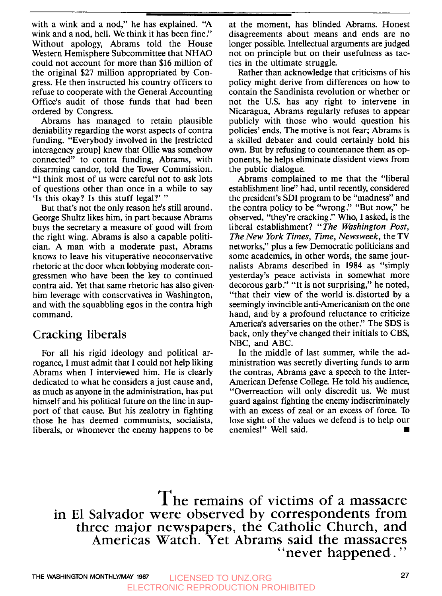with a wink and a nod," he has explained. "A wink and a nod, hell. We think it has been fine." Without apology, Abrams told the House Western Hemisphere Subcommittee that NHAO could not account for more than **\$16** million of the original **\$27** million appropriated by Congress. He then instructed his country officers to refuse to cooperate with the General Accounting Office's audit of those funds that had been ordered by Congress.

Abrams has managed to retain plausible deniability regarding the worst aspects of contra funding. "Everybody involved in the [restricted interagency group] knew that Ollie was somehow connected" to contra funding, Abrams, with disarming candor, told the Tower Commission. "I think most of us were careful not to ask lots of questions other than once in a while to say 'Is this okay? Is this stuff legal?' "

But that's not the only reason he's still around. George Shultz likes him, in part because Abrams buys the secretary a measure of good will from the right wing. Abrams is also a capable politician. A man with a moderate past, Abrams knows to leave his vituperative neoconservative rhetoric at the door when lobbying moderate congressmen who have been the key to continued contra aid. Yet that same rhetoric has also given him leverage with conservatives in Washington, and with the squabbling egos in the contra high command.

### **Cracking liberals**

For all his rigid ideology and political arrogance, I must admit that I could not help liking Abrams when I interviewed him. He is clearly dedicated to what he considers a just cause and, as much as anyone in the administration, has put himself and his political future on the line in support of that cause. But his zealotry in fighting those he has deemed communists, socialists, liberals, or whomever the enemy happens to be at the moment, has blinded Abrams. Honest disagreements about means and ends are no longer possible Intellectual arguments are judged not on principle but on their usefulness as tactics in the ultimate struggle.

Rather than acknowledge that criticisms of his policy might derive from differences on how to contain the Sandinista revolution or whether or not the **U.S.** has any right to intervene in Nicaragua, Abrams regularly refuses to appear publicly with those who would question his policies' ends. The motive is not fear; Abrams is a skilled debater and could certainly hold his own. But by refusing to countenance them as opponents, he helps eliminate dissident views from the public dialogue.

Abrams complained to me that the "liberal establishment line" had, until recently, considered the president's SDI program to be "madness" and the contra policy to be "wrong ." "But now," he observed, "they're cracking ." Who, I asked, is the liberal establishment? " *The Washington Post, The New York Times, Time, Newsweek,* the **TV**  networks," plus a few Democratic politicians and some academics, in other words, the same journalists Abrams described in **1984** as "simply yesterday's peace activists in somewhat more decorous garb." "It is not surprising," he noted, "that their view of the world is distorted by a seemingly invincible anti-Americanism on the one hand, and by a profound reluctance to criticize America's adversaries on the other." The SDS is back, only they've changed their initials to CBS, NBC, and ABC.

In the middle of last summer, while the administration was secretly diverting funds to arm the contras, Abrams gave a speech to the Inter-American Defense College. He told his audience, "Overreaction will only discredit us. We must guard against fighting the enemy indiscriminately with an excess of zeal or an excess of force. To lose sight of the values we defend is to help our enemies!" Well said.

**The remains of victims** of **a massacre in El Salvador were observed by correspondents from three major newspapers, the Catholic Church, and**  Americas Watch. Yet Abrams said the massacres<br>
"
never happened."